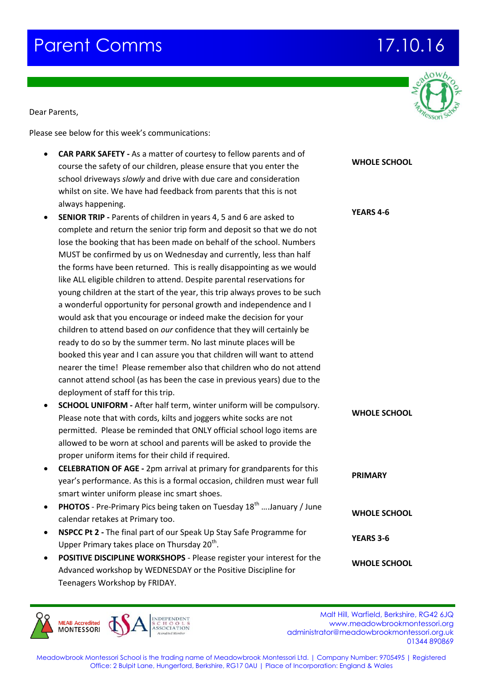## **Parent Comms 17.10.16**

Dear Parents,

Please see below for this week's communications:

Agenda

- **CAR PARK SAFETY -** As a matter of courtesy to fellow parents and of course the safety of our children, please ensure that you enter school driveways *slowly* and drive with due care and considerat whilst on site. We have had feedback from parents that this is no always happening.
- **SENIOR TRIP -** Parents of children in years 4, 5 and 6 are asked to complete and return the senior trip form and deposit so that we lose the booking that has been made on behalf of the school. N MUST be confirmed by us on Wednesday and currently, less than the forms have been returned. This is really disappointing as we like ALL eligible children to attend. Despite parental reservation young children at the start of the year, this trip always proves to a wonderful opportunity for personal growth and independence would ask that you encourage or indeed make the decision for y children to attend based on *our* confidence that they will certain ready to do so by the summer term. No last minute places will be booked this year and I can assure you that children will want to nearer the time! Please remember also that children who do no cannot attend school (as has been the case in previous years) du deployment of staff for this trip.
- **SCHOOL UNIFORM -** After half term, winter uniform will be computed Please note that with cords, kilts and joggers white socks are no permitted. Please be reminded that ONLY official school logo it allowed to be worn at school and parents will be asked to provid proper uniform items for their child if required.
- **CELEBRATION OF AGE -** 2pm arrival at primary for grandparents year's performance. As this is a formal occasion, children must wear's smart winter uniform please inc smart shoes.
- **PHOTOS** Pre-Primary Pics being taken on Tuesday 18<sup>th</sup> ....Janua calendar retakes at Primary too.
- **NSPCC Pt 2 The final part of our Speak Up Stay Safe Programm** Upper Primary takes place on Thursday  $20^{th}$ .
- **POSITIVE DISCIPLINE WORKSHOPS** Please register your interest Advanced workshop by WEDNESDAY or the Positive Discipline for Teenagers Workshop by FRIDAY.

**MEAR Accredited MONTESSORI** 

**Malt Hill, Warfield, Berkshire, RG42 6JQ** www.meadowbrookmontessori.org [administrator@meadowbrookmontessori.org.uk](mailto:administrator@meadowbrookmontessori.org.uk) 01344 890869



| the        | <b>WHOLE SCHOOL</b> |
|------------|---------------------|
| ion        |                     |
| ıot        |                     |
|            |                     |
| to         | <b>YEARS 4-6</b>    |
| e do not   |                     |
| umbers     |                     |
| an half    |                     |
| e would    |                     |
| ıs for     |                     |
| o be such  |                     |
| e and I    |                     |
| your       |                     |
| nly be     |                     |
| эe         |                     |
| attend     |                     |
| ot attend  |                     |
| ue to the  |                     |
|            |                     |
| npulsory.  |                     |
| οt         | <b>WHOLE SCHOOL</b> |
| ems are    |                     |
| de the     |                     |
|            |                     |
| s for this | <b>PRIMARY</b>      |
| wear full  |                     |
|            |                     |
| ary / June | <b>WHOLE SCHOOL</b> |
|            |                     |
| e for      | <b>YEARS 3-6</b>    |
|            |                     |
| st for the | <b>WHOLE SCHOOL</b> |
| nr.        |                     |





Meadowbrook Montessori School is the trading name of Meadowbrook Montessori Ltd. | Company Number: 9705495 | Registered Office: 2 Bulpit Lane, Hungerford, Berkshire, RG17 0AU | Place of Incorporation: England & Wales